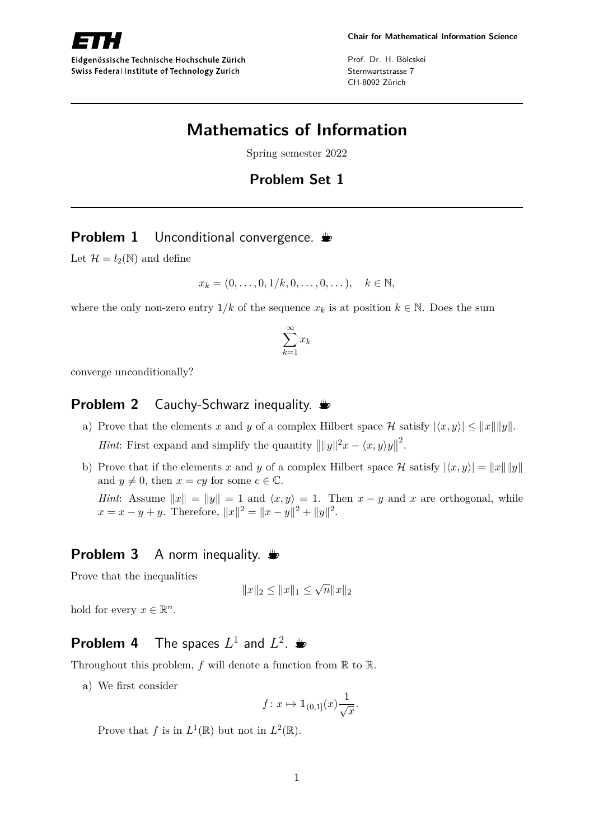

Eidgenössische Technische Hochschule Zürich Swiss Federal Institute of Technology Zurich

Prof. Dr. H. Bölcskei Sternwartstrasse 7 CH-8092 Zürich

# **Mathematics of Information**

Spring semester 2022

### **Problem Set 1**

### **Problem 1** Unconditional convergence.  $\triangle$

Let  $\mathcal{H} = l_2(\mathbb{N})$  and define

$$
x_k = (0, \ldots, 0, 1/k, 0, \ldots, 0, \ldots), \quad k \in \mathbb{N},
$$

where the only non-zero entry  $1/k$  of the sequence  $x_k$  is at position  $k \in \mathbb{N}$ . Does the sum

$$
\sum_{k=1}^{\infty} x_k
$$

converge unconditionally?

#### **Problem 2** Cauchy-Schwarz inequality.

- a) Prove that the elements *x* and *y* of a complex Hilbert space H satisfy  $|\langle x, y \rangle| \le ||x|| ||y||$ . *Hint*: First expand and simplify the quantity  $\| \|y\|^2 x - \langle x, y \rangle y \|$ 2 .
- b) Prove that if the elements *x* and *y* of a complex Hilbert space H satisfy  $|\langle x, y \rangle| = ||x|| ||y||$ and  $y \neq 0$ , then  $x = cy$  for some  $c \in \mathbb{C}$ .

*Hint*: Assume  $||x|| = ||y|| = 1$  and  $\langle x, y \rangle = 1$ . Then  $x - y$  and  $x$  are orthogonal, while  $x = x - y + y$ . Therefore,  $||x||^2 = ||x - y||^2 + ||y||^2$ .

#### **Problem 3** A norm inequality.  $\mathbf{\mathbf{\mathbf{\mathbf{\Psi}}}}$

Prove that the inequalities

$$
||x||_2 \le ||x||_1 \le \sqrt{n} ||x||_2
$$

hold for every  $x \in \mathbb{R}^n$ .

## **Problem 4** The spaces  $L^1$  and  $L^2$ .

Throughout this problem,  $f$  will denote a function from  $\mathbb R$  to  $\mathbb R$ .

a) We first consider

$$
f \colon x \mapsto \mathbbm{1}_{(0,1]}(x) \frac{1}{\sqrt{x}}.
$$

Prove that *f* is in  $L^1(\mathbb{R})$  but not in  $L^2(\mathbb{R})$ .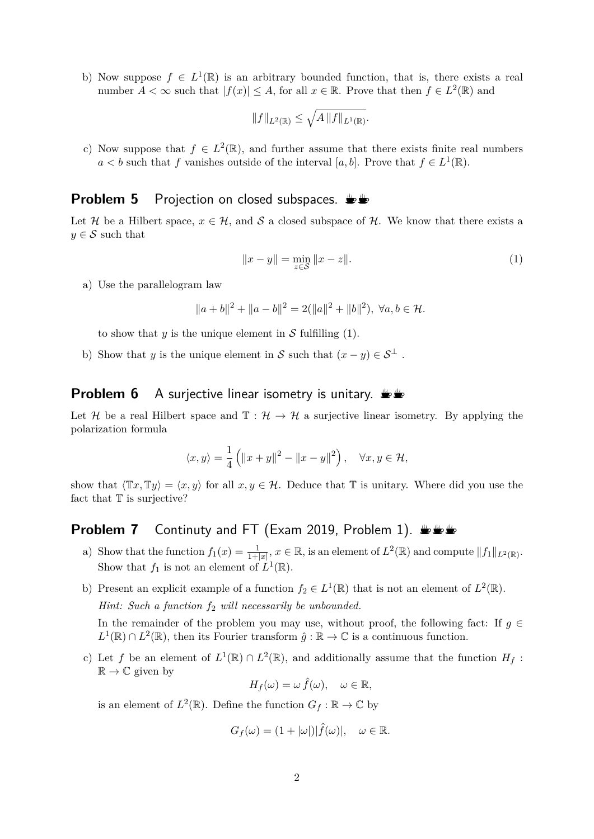b) Now suppose  $f \in L^1(\mathbb{R})$  is an arbitrary bounded function, that is, there exists a real number  $A < \infty$  such that  $|f(x)| \leq A$ , for all  $x \in \mathbb{R}$ . Prove that then  $f \in L^2(\mathbb{R})$  and

$$
||f||_{L^2(\mathbb{R})} \leq \sqrt{A||f||_{L^1(\mathbb{R})}}.
$$

c) Now suppose that  $f \in L^2(\mathbb{R})$ , and further assume that there exists finite real numbers *a*  $\lt$  *b* such that *f* vanishes outside of the interval [*a, b*]. Prove that *f* ∈ *L*<sup>1</sup>(ℝ).

#### **Problem 5** Projection on closed subspaces.  $\mathbf{L}$

Let H be a Hilbert space,  $x \in \mathcal{H}$ , and S a closed subspace of H. We know that there exists a  $y \in \mathcal{S}$  such that

$$
||x - y|| = \min_{z \in S} ||x - z||.
$$
 (1)

a) Use the parallelogram law

$$
||a+b||^2 + ||a-b||^2 = 2(||a||^2 + ||b||^2), \ \forall a, b \in \mathcal{H}.
$$

to show that  $y$  is the unique element in  $S$  fulfilling (1).

b) Show that *y* is the unique element in S such that  $(x - y) \in S^{\perp}$ .

#### **Problem 6** A surjective linear isometry is unitary.  $\mathbf{L}$

Let H be a real Hilbert space and  $\mathbb{T}: \mathcal{H} \to \mathcal{H}$  a surjective linear isometry. By applying the polarization formula

$$
\langle x, y \rangle = \frac{1}{4} \left( \|x + y\|^2 - \|x - y\|^2 \right), \quad \forall x, y \in \mathcal{H},
$$

show that  $\langle Tx, Ty \rangle = \langle x, y \rangle$  for all  $x, y \in \mathcal{H}$ . Deduce that T is unitary. Where did you use the fact that  $T$  is surjective?

### **Problem 7** Continuty and FT (Exam 2019, Problem 1). Sup

- a) Show that the function  $f_1(x) = \frac{1}{1+|x|}$ ,  $x \in \mathbb{R}$ , is an element of  $L^2(\mathbb{R})$  and compute  $||f_1||_{L^2(\mathbb{R})}$ . Show that  $f_1$  is not an element of  $L^1(\mathbb{R})$ .
- b) Present an explicit example of a function  $f_2 \in L^1(\mathbb{R})$  that is not an element of  $L^2(\mathbb{R})$ . *Hint: Such a function f*<sup>2</sup> *will necessarily be unbounded.* In the remainder of the problem you may use, without proof, the following fact: If  $q \in$

 $L^1(\mathbb{R}) \cap L^2(\mathbb{R})$ , then its Fourier transform  $\hat{g} : \mathbb{R} \to \mathbb{C}$  is a continuous function.

c) Let *f* be an element of  $L^1(\mathbb{R}) \cap L^2(\mathbb{R})$ , and additionally assume that the function  $H_f$ :  $\mathbb{R} \to \mathbb{C}$  given by

$$
H_f(\omega) = \omega \,\hat{f}(\omega), \quad \omega \in \mathbb{R},
$$

is an element of  $L^2(\mathbb{R})$ . Define the function  $G_f : \mathbb{R} \to \mathbb{C}$  by

$$
G_f(\omega) = (1 + |\omega|) |\hat{f}(\omega)|, \quad \omega \in \mathbb{R}.
$$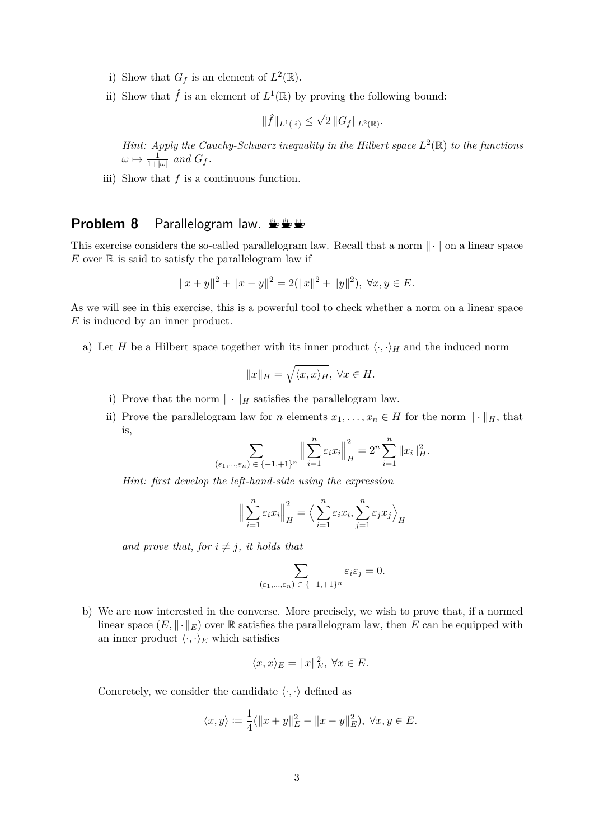- i) Show that  $G_f$  is an element of  $L^2(\mathbb{R})$ .
- ii) Show that  $\hat{f}$  is an element of  $L^1(\mathbb{R})$  by proving the following bound:

$$
\|\hat{f}\|_{L^1(\mathbb{R})} \leq \sqrt{2} \|G_f\|_{L^2(\mathbb{R})}.
$$

*Hint: Apply the Cauchy-Schwarz inequality in the Hilbert space*  $L^2(\mathbb{R})$  *to the functions*  $\omega \mapsto \frac{1}{1+|\omega|}$  and  $G_f$ .

iii) Show that *f* is a continuous function.

#### **Problem 8** Parallelogram law.  $\psi$

This exercise considers the so-called parallelogram law. Recall that a norm  $\|\cdot\|$  on a linear space  $E$  over  $\mathbb R$  is said to satisfy the parallelogram law if

$$
||x + y||2 + ||x - y||2 = 2(||x||2 + ||y||2), \forall x, y \in E.
$$

As we will see in this exercise, this is a powerful tool to check whether a norm on a linear space *E* is induced by an inner product.

a) Let *H* be a Hilbert space together with its inner product  $\langle \cdot, \cdot \rangle_H$  and the induced norm

$$
||x||_H = \sqrt{\langle x, x \rangle_H}, \ \forall x \in H.
$$

- i) Prove that the norm  $\|\cdot\|_H$  satisfies the parallelogram law.
- ii) Prove the parallelogram law for *n* elements  $x_1, \ldots, x_n \in H$  for the norm  $\|\cdot\|_H$ , that is,

$$
\sum_{(\varepsilon_1,\dots,\varepsilon_n)\,\in\,\{-1,+1\}^n} \Big\|\sum_{i=1}^n \varepsilon_i x_i\Big\|_H^2 = 2^n \sum_{i=1}^n \|x_i\|_H^2.
$$

*Hint: first develop the left-hand-side using the expression*

$$
\Big\|\sum_{i=1}^n \varepsilon_i x_i\Big\|_H^2 = \Big\langle \sum_{i=1}^n \varepsilon_i x_i, \sum_{j=1}^n \varepsilon_j x_j \Big\rangle_H
$$

*and prove that, for*  $i \neq j$ *, it holds that* 

$$
\sum_{(\varepsilon_1,\ldots,\varepsilon_n)\,\in\,\{-1,+1\}^n}\varepsilon_i\varepsilon_j=0.
$$

b) We are now interested in the converse. More precisely, we wish to prove that, if a normed linear space  $(E, \|\cdot\|_E)$  over  $\mathbb R$  satisfies the parallelogram law, then E can be equipped with an inner product  $\langle \cdot, \cdot \rangle_E$  which satisfies

$$
\langle x, x \rangle_E = ||x||_E^2, \ \forall x \in E.
$$

Concretely, we consider the candidate  $\langle \cdot, \cdot \rangle$  defined as

$$
\langle x, y \rangle := \frac{1}{4}(\|x + y\|_E^2 - \|x - y\|_E^2), \ \forall x, y \in E.
$$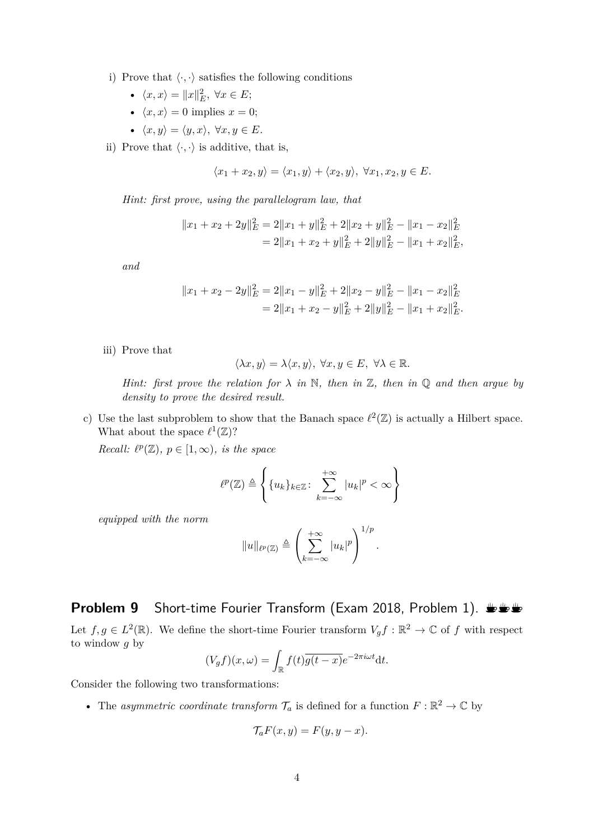- i) Prove that  $\langle \cdot, \cdot \rangle$  satisfies the following conditions
	- $\langle x, x \rangle = ||x||_E^2, \ \forall x \in E;$
	- $\langle x, x \rangle = 0$  implies  $x = 0$ ;
	- $\langle x, y \rangle = \langle y, x \rangle, \ \forall x, y \in E.$
- ii) Prove that  $\langle \cdot, \cdot \rangle$  is additive, that is,

$$
\langle x_1 + x_2, y \rangle = \langle x_1, y \rangle + \langle x_2, y \rangle, \ \forall x_1, x_2, y \in E.
$$

*Hint: first prove, using the parallelogram law, that*

$$
||x_1 + x_2 + 2y||_E^2 = 2||x_1 + y||_E^2 + 2||x_2 + y||_E^2 - ||x_1 - x_2||_E^2
$$
  
= 2||x\_1 + x\_2 + y||\_E^2 + 2||y||\_E^2 - ||x\_1 + x\_2||\_E^2,

*and*

$$
||x_1 + x_2 - 2y||_E^2 = 2||x_1 - y||_E^2 + 2||x_2 - y||_E^2 - ||x_1 - x_2||_E^2
$$
  
= 2||x\_1 + x\_2 - y||\_E^2 + 2||y||\_E^2 - ||x\_1 + x\_2||\_E^2.

iii) Prove that

$$
\langle \lambda x, y \rangle = \lambda \langle x, y \rangle, \ \forall x, y \in E, \ \forall \lambda \in \mathbb{R}
$$

*Hint:* first prove the relation for  $\lambda$  *in* N, then *in*  $\mathbb{Z}$ *, then in*  $\mathbb{Q}$  *and then argue by density to prove the desired result.*

c) Use the last subproblem to show that the Banach space  $\ell^2(\mathbb{Z})$  is actually a Hilbert space. What about the space  $\ell^1(\mathbb{Z})$ ?

*Recall:*  $\ell^p(\mathbb{Z})$ *,*  $p \in [1, \infty)$ *, is the space* 

$$
\ell^{p}(\mathbb{Z}) \triangleq \left\{ \{u_{k}\}_{k\in\mathbb{Z}} \colon \sum_{k=-\infty}^{+\infty} |u_{k}|^{p} < \infty \right\}
$$

*equipped with the norm*

$$
||u||_{\ell^p(\mathbb{Z})} \triangleq \left(\sum_{k=-\infty}^{+\infty} |u_k|^p\right)^{1/p}.
$$

# **Problem 9** Short-time Fourier Transform (Exam 2018, Problem 1). ###

Let  $f, g \in L^2(\mathbb{R})$ . We define the short-time Fourier transform  $V_g f : \mathbb{R}^2 \to \mathbb{C}$  of f with respect to window *g* by

$$
(V_g f)(x,\omega) = \int_{\mathbb{R}} f(t) \overline{g(t-x)} e^{-2\pi i \omega t} dt.
$$

Consider the following two transformations:

• The *asymmetric coordinate transform*  $\mathcal{T}_a$  is defined for a function  $F : \mathbb{R}^2 \to \mathbb{C}$  by

$$
\mathcal{T}_a F(x, y) = F(y, y - x).
$$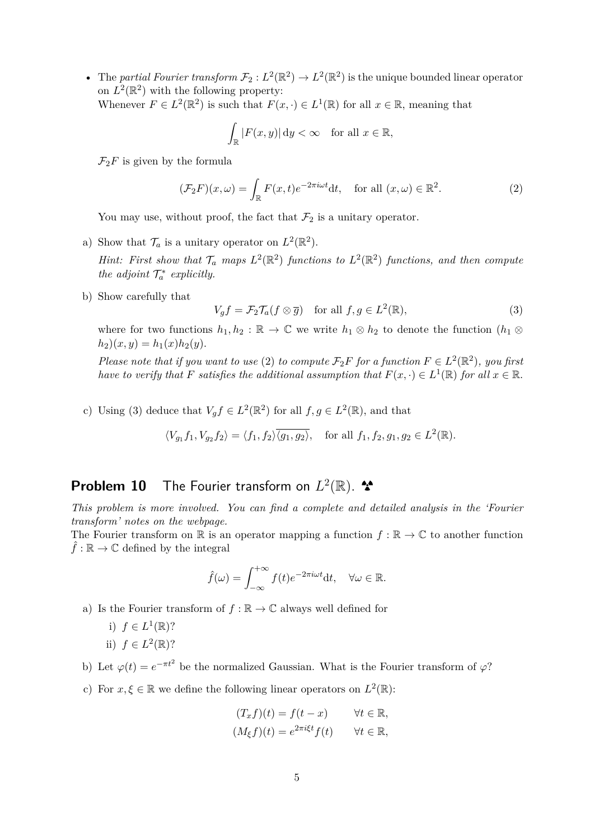• The *partial Fourier transform*  $\mathcal{F}_2: L^2(\mathbb{R}^2) \to L^2(\mathbb{R}^2)$  is the unique bounded linear operator on  $L^2(\mathbb{R}^2)$  with the following property: Whenever  $F \in L^2(\mathbb{R}^2)$  is such that  $F(x, \cdot) \in L^1(\mathbb{R})$  for all  $x \in \mathbb{R}$ , meaning that

$$
\int_{\mathbb{R}} |F(x, y)| dy < \infty \quad \text{for all } x \in \mathbb{R},
$$

 $\mathcal{F}_2F$  is given by the formula

$$
(\mathcal{F}_2 F)(x,\omega) = \int_{\mathbb{R}} F(x,t)e^{-2\pi i \omega t} dt, \text{ for all } (x,\omega) \in \mathbb{R}^2.
$$
 (2)

You may use, without proof, the fact that  $\mathcal{F}_2$  is a unitary operator.

a) Show that  $\mathcal{T}_a$  is a unitary operator on  $L^2(\mathbb{R}^2)$ .

*Hint: First show that*  $\mathcal{T}_a$  *maps*  $L^2(\mathbb{R}^2)$  *functions to*  $L^2(\mathbb{R}^2)$  *functions, and then compute the adjoint*  $\mathcal{T}_a^*$  *explicitly.* 

b) Show carefully that

$$
V_g f = \mathcal{F}_2 \mathcal{T}_a(f \otimes \overline{g}) \quad \text{for all } f, g \in L^2(\mathbb{R}), \tag{3}
$$

where for two functions  $h_1, h_2 : \mathbb{R} \to \mathbb{C}$  we write  $h_1 \otimes h_2$  to denote the function  $(h_1 \otimes h_2)$  $h_2(x, y) = h_1(x)h_2(y).$ 

*Please note that if you want to use* (2) *to compute*  $\mathcal{F}_2F$  *for a function*  $F \in L^2(\mathbb{R}^2)$ *, you first have to verify that F satisfies the additional assumption that*  $F(x, \cdot) \in L^1(\mathbb{R})$  *for all*  $x \in \mathbb{R}$ .

c) Using (3) deduce that  $V_g f \in L^2(\mathbb{R}^2)$  for all  $f, g \in L^2(\mathbb{R})$ , and that

$$
\langle V_{g_1}f_1, V_{g_2}f_2 \rangle = \langle f_1, f_2 \rangle \overline{\langle g_1, g_2 \rangle}, \quad \text{for all } f_1, f_2, g_1, g_2 \in L^2(\mathbb{R}).
$$

## **Problem 10** The Fourier transform on  $L^2(\mathbb{R})$ .  $\triangle^2$

*This problem is more involved. You can find a complete and detailed analysis in the 'Fourier transform' notes on the webpage.*

The Fourier transform on R is an operator mapping a function  $f : \mathbb{R} \to \mathbb{C}$  to another function  $\hat{f} : \mathbb{R} \to \mathbb{C}$  defined by the integral

$$
\hat{f}(\omega) = \int_{-\infty}^{+\infty} f(t)e^{-2\pi i \omega t} dt, \quad \forall \omega \in \mathbb{R}.
$$

- a) Is the Fourier transform of  $f : \mathbb{R} \to \mathbb{C}$  always well defined for
	- i)  $f \in L^1(\mathbb{R})$ ?
	- ii)  $f \in L^2(\mathbb{R})$ ?
- b) Let  $\varphi(t) = e^{-\pi t^2}$  be the normalized Gaussian. What is the Fourier transform of  $\varphi$ ?
- c) For  $x, \xi \in \mathbb{R}$  we define the following linear operators on  $L^2(\mathbb{R})$ :

$$
(T_x f)(t) = f(t - x) \quad \forall t \in \mathbb{R},
$$
  

$$
(M_{\xi} f)(t) = e^{2\pi i \xi t} f(t) \quad \forall t \in \mathbb{R},
$$